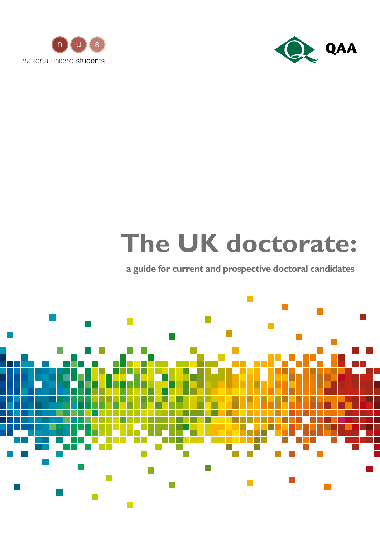



# **The UK doctorate:**

## **a guide for current and prospective doctoral candidates**

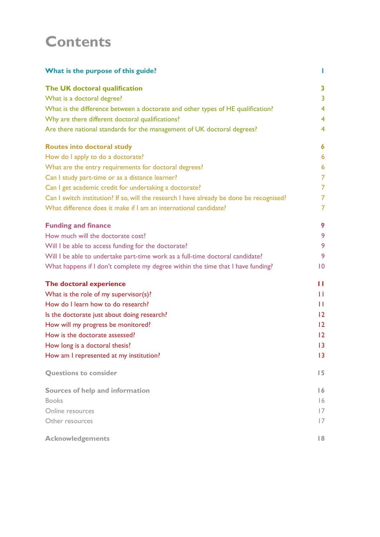## **Contents**

| What is the purpose of this guide?                                                       | Ш                 |
|------------------------------------------------------------------------------------------|-------------------|
| The UK doctoral qualification                                                            | 3                 |
| What is a doctoral degree?                                                               | 3                 |
| What is the difference between a doctorate and other types of HE qualification?          | 4                 |
| Why are there different doctoral qualifications?                                         | 4                 |
| Are there national standards for the management of UK doctoral degrees?                  | 4                 |
| <b>Routes into doctoral study</b>                                                        | 6                 |
| How do I apply to do a doctorate?                                                        | 6                 |
| What are the entry requirements for doctoral degrees?                                    | 6                 |
| Can I study part-time or as a distance learner?                                          | $\overline{7}$    |
| Can I get academic credit for undertaking a doctorate?                                   | $\overline{7}$    |
| Can I switch institution? If so, will the research I have already be done be recognised? | $\overline{7}$    |
| What difference does it make if I am an international candidate?                         | 7                 |
| <b>Funding and finance</b>                                                               | 9                 |
| How much will the doctorate cost?                                                        | 9                 |
| Will I be able to access funding for the doctorate?                                      | 9                 |
| Will I be able to undertake part-time work as a full-time doctoral candidate?            | 9                 |
| What happens if I don't complete my degree within the time that I have funding?          | $\overline{10}$   |
| The doctoral experience                                                                  | п                 |
| What is the role of my supervisor(s)?                                                    | Ħ                 |
| How do I learn how to do research?                                                       | Ш                 |
| Is the doctorate just about doing research?                                              | $12 \,$           |
| How will my progress be monitored?                                                       | $12 \overline{ }$ |
| How is the doctorate assessed?                                                           | 12                |
| How long is a doctoral thesis?                                                           | 13                |
| How am I represented at my institution?                                                  | 3                 |
| <b>Questions to consider</b>                                                             | 15                |
| Sources of help and information                                                          | $\overline{6}$    |
| <b>Books</b>                                                                             | 16                |
| Online resources                                                                         | $\overline{17}$   |
| Other resources                                                                          | 17                |
| <b>Acknowledgements</b>                                                                  | 8                 |
|                                                                                          |                   |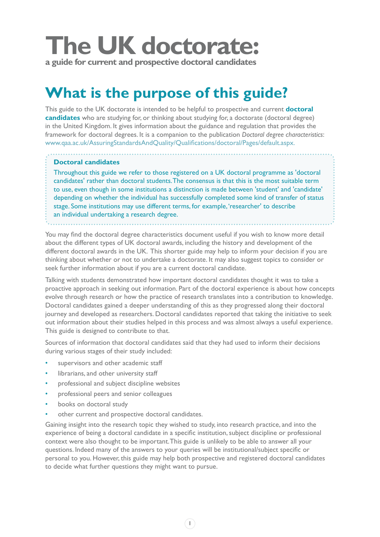# **The UK doctorate:**

**a guide for current and prospective doctoral candidates**

# **What is the purpose of this guide?**

This guide to the UK doctorate is intended to be helpful to prospective and current **doctoral candidates** who are studying for, or thinking about studying for, a doctorate (doctoral degree) in the United Kingdom. It gives information about the guidance and regulation that provides the framework for doctoral degrees. It is a companion to the publication *Doctoral degree characteristics*: www.qaa.ac.uk/AssuringStandardsAndQuality/Qualifications/doctoral/Pages/default.aspx.

#### **Doctoral candidates**

Throughout this guide we refer to those registered on a UK doctoral programme as 'doctoral candidates' rather than doctoral students. The consensus is that this is the most suitable term to use, even though in some institutions a distinction is made between 'student' and 'candidate' depending on whether the individual has successfully completed some kind of transfer of status stage. Some institutions may use different terms, for example, 'researcher' to describe an individual undertaking a research degree.

You may find the doctoral degree characteristics document useful if you wish to know more detail about the different types of UK doctoral awards, including the history and development of the different doctoral awards in the UK. This shorter guide may help to inform your decision if you are thinking about whether or not to undertake a doctorate. It may also suggest topics to consider or seek further information about if you are a current doctoral candidate.

Talking with students demonstrated how important doctoral candidates thought it was to take a proactive approach in seeking out information. Part of the doctoral experience is about how concepts evolve through research or how the practice of research translates into a contribution to knowledge. Doctoral candidates gained a deeper understanding of this as they progressed along their doctoral journey and developed as researchers. Doctoral candidates reported that taking the initiative to seek out information about their studies helped in this process and was almost always a useful experience. This guide is designed to contribute to that.

Sources of information that doctoral candidates said that they had used to inform their decisions during various stages of their study included:

- supervisors and other academic staff
- librarians, and other university staff
- professional and subject discipline websites
- professional peers and senior colleagues
- books on doctoral study
- other current and prospective doctoral candidates.

Gaining insight into the research topic they wished to study, into research practice, and into the experience of being a doctoral candidate in a specific institution, subject discipline or professional context were also thought to be important. This guide is unlikely to be able to answer all your questions. Indeed many of the answers to your queries will be institutional/subject specific or personal to you. However, this guide may help both prospective and registered doctoral candidates to decide what further questions they might want to pursue.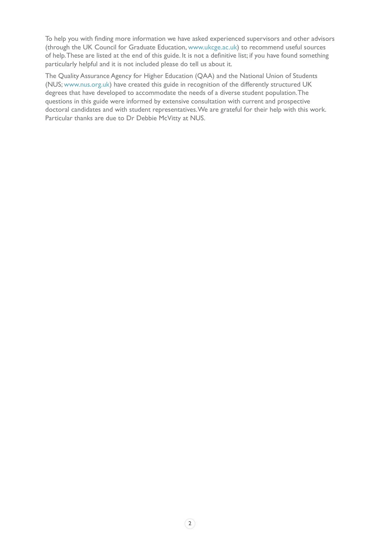To help you with finding more information we have asked experienced supervisors and other advisors (through the UK Council for Graduate Education, www.ukcge.ac.uk) to recommend useful sources of help. These are listed at the end of this guide. It is not a definitive list; if you have found something particularly helpful and it is not included please do tell us about it.

The Quality Assurance Agency for Higher Education (QAA) and the National Union of Students (NUS; www.nus.org.uk) have created this guide in recognition of the differently structured UK degrees that have developed to accommodate the needs of a diverse student population. The questions in this guide were informed by extensive consultation with current and prospective doctoral candidates and with student representatives. We are grateful for their help with this work. Particular thanks are due to Dr Debbie McVitty at NUS.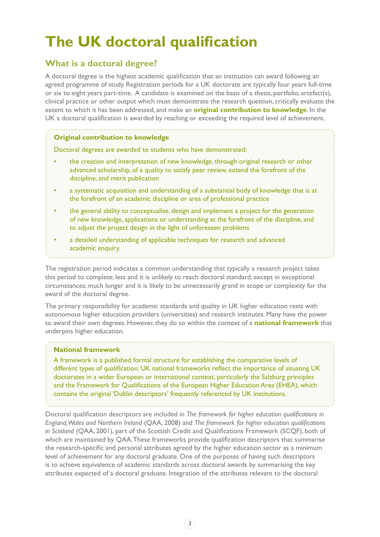# **The UK doctoral qualification**

### **What is a doctoral degree?**

A doctoral degree is the highest academic qualification that an institution can award following an agreed programme of study. Registration periods for a UK doctorate are typically four years full-time or six to eight years part-time. A candidate is examined on the basis of a thesis, portfolio, artefact(s), clinical practice or other output which must demonstrate the research question, critically evaluate the extent to which it has been addressed, and make an **original contribution to knowledge**. In the UK a doctoral qualification is awarded by reaching or exceeding the required level of achievement.

#### **Original contribution to knowledge**

Doctoral degrees are awarded to students who have demonstrated:

- the creation and interpretation of new knowledge, through original research or other advanced scholarship, of a quality to satisfy peer review, extend the forefront of the discipline, and merit publication
- a systematic acquisition and understanding of a substantial body of knowledge that is at the forefront of an academic discipline or area of professional practice
- the general ability to conceptualise, design and implement a project for the generation of new knowledge, applications or understanding at the forefront of the discipline, and to adjust the project design in the light of unforeseen problems
- a detailed understanding of applicable techniques for research and advanced academic enquiry.

The registration period indicates a common understanding that typically a research project takes this period to complete; less and it is unlikely to reach doctoral standard, except in exceptional circumstances; much longer and it is likely to be unnecessarily grand in scope or complexity for the award of the doctoral degree.

The primary responsibility for academic standards and quality in UK higher education rests with autonomous higher education providers (universities) and research institutes. Many have the power to award their own degrees. However, they do so within the context of a **national framework** that underpins higher education.

#### **National framework**

A framework is a published formal structure for establishing the comparative levels of different types of qualification. UK national frameworks reflect the importance of situating UK doctorates in a wider European or international context, particularly the Salzburg principles and the Framework for Qualifications of the European Higher Education Area (EHEA), which contains the original 'Dublin descriptors' frequently referenced by UK institutions.

Doctoral qualification descriptors are included in *The framework for higher education qualifications in England, Wales and Northern Ireland* (QAA, 2008) and *The framework for higher education qualifications in Scotland* (QAA, 2001), part of the Scottish Credit and Qualifications Framework (SCQF), both of which are maintained by QAA. These frameworks provide qualification descriptors that summarise the research-specific and personal attributes agreed by the higher education sector as a minimum level of achievement for any doctoral graduate. One of the purposes of having such descriptors is to achieve equivalence of academic standards across doctoral awards by summarising the key attributes expected of a doctoral graduate. Integration of the attributes relevant to the doctoral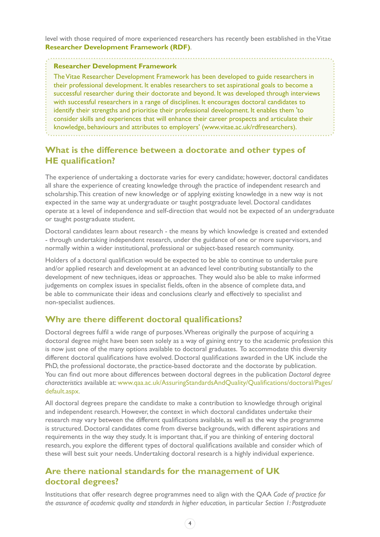level with those required of more experienced researchers has recently been established in the Vitae **Researcher Development Framework (RDF)**.

#### **Researcher Development Framework**

The Vitae Researcher Development Framework has been developed to guide researchers in their professional development. It enables researchers to set aspirational goals to become a successful researcher during their doctorate and beyond. It was developed through interviews with successful researchers in a range of disciplines. It encourages doctoral candidates to identify their strengths and prioritise their professional development. It enables them 'to consider skills and experiences that will enhance their career prospects and articulate their knowledge, behaviours and attributes to employers' (www.vitae.ac.uk/rdfresearchers).

### **What is the difference between a doctorate and other types of HE qualification?**

The experience of undertaking a doctorate varies for every candidate; however, doctoral candidates all share the experience of creating knowledge through the practice of independent research and scholarship. This creation of new knowledge or of applying existing knowledge in a new way is not expected in the same way at undergraduate or taught postgraduate level. Doctoral candidates operate at a level of independence and self-direction that would not be expected of an undergraduate or taught postgraduate student.

Doctoral candidates learn about research - the means by which knowledge is created and extended - through undertaking independent research, under the guidance of one or more supervisors, and normally within a wider institutional, professional or subject-based research community.

Holders of a doctoral qualification would be expected to be able to continue to undertake pure and/or applied research and development at an advanced level contributing substantially to the development of new techniques, ideas or approaches. They would also be able to make informed judgements on complex issues in specialist fields, often in the absence of complete data, and be able to communicate their ideas and conclusions clearly and effectively to specialist and non-specialist audiences.

#### **Why are there different doctoral qualifications?**

Doctoral degrees fulfil a wide range of purposes. Whereas originally the purpose of acquiring a doctoral degree might have been seen solely as a way of gaining entry to the academic profession this is now just one of the many options available to doctoral graduates. To accommodate this diversity different doctoral qualifications have evolved. Doctoral qualifications awarded in the UK include the PhD, the professional doctorate, the practice-based doctorate and the doctorate by publication. You can find out more about differences between doctoral degrees in the publication *Doctoral degree characteristics* [available at: www.qaa.ac.uk/AssuringStandardsAndQuality/Qualifications/doctoral/Pages/](http://www.qaa.ac.uk/AssuringStandardsAndQuality/Qualifications/doctoral/Pages/default.aspx) default.aspx.

All doctoral degrees prepare the candidate to make a contribution to knowledge through original and independent research. However, the context in which doctoral candidates undertake their research may vary between the different qualifications available, as well as the way the programme is structured. Doctoral candidates come from diverse backgrounds, with different aspirations and requirements in the way they study. It is important that, if you are thinking of entering doctoral research, you explore the different types of doctoral qualifications available and consider which of these will best suit your needs. Undertaking doctoral research is a highly individual experience.

### **Are there national standards for the management of UK doctoral degrees?**

Institutions that offer research degree programmes need to align with the QAA *Code of practice for the assurance of academic quality and standards in higher education,* in particular *Section 1: Postgraduate*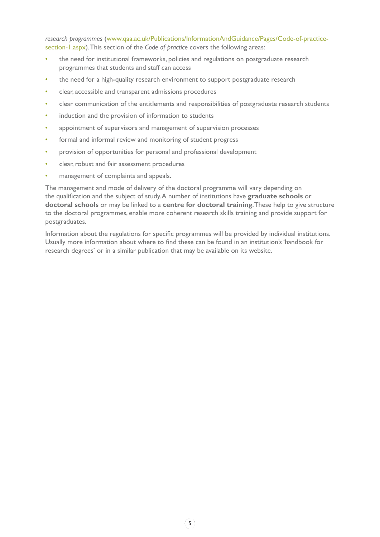*research programmes* (www.qaa.ac.uk/Publications/InformationAndGuidance/Pages/Code-of-practicesection-1.aspx). This section of the *Code of practice* covers the following areas:

- the need for institutional frameworks, policies and regulations on postgraduate research programmes that students and staff can access
- the need for a high-quality research environment to support postgraduate research
- clear, accessible and transparent admissions procedures
- clear communication of the entitlements and responsibilities of postgraduate research students
- induction and the provision of information to students
- appointment of supervisors and management of supervision processes
- formal and informal review and monitoring of student progress
- provision of opportunities for personal and professional development
- clear, robust and fair assessment procedures
- management of complaints and appeals.

The management and mode of delivery of the doctoral programme will vary depending on the qualification and the subject of study. A number of institutions have **graduate schools** or **doctoral schools** or may be linked to a **centre for doctoral training**. These help to give structure to the doctoral programmes, enable more coherent research skills training and provide support for postgraduates.

Information about the regulations for specific programmes will be provided by individual institutions. Usually more information about where to find these can be found in an institution's 'handbook for research degrees' or in a similar publication that may be available on its website.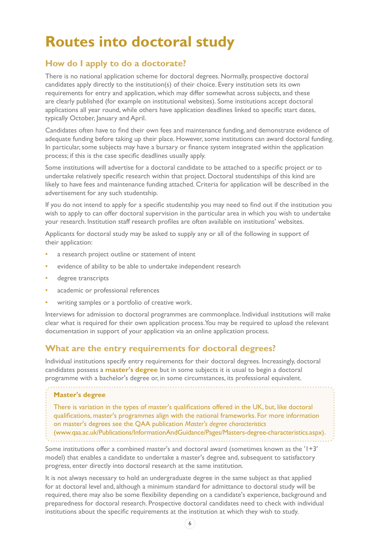# **Routes into doctoral study**

### **How do I apply to do a doctorate?**

There is no national application scheme for doctoral degrees. Normally, prospective doctoral candidates apply directly to the institution(s) of their choice. Every institution sets its own requirements for entry and application, which may differ somewhat across subjects, and these are clearly published (for example on institutional websites). Some institutions accept doctoral applications all year round, while others have application deadlines linked to specific start dates, typically October, January and April.

Candidates often have to find their own fees and maintenance funding, and demonstrate evidence of adequate funding before taking up their place. However, some institutions can award doctoral funding. In particular, some subjects may have a bursary or finance system integrated within the application process; if this is the case specific deadlines usually apply.

Some institutions will advertise for a doctoral candidate to be attached to a specific project or to undertake relatively specific research within that project. Doctoral studentships of this kind are likely to have fees and maintenance funding attached. Criteria for application will be described in the advertisement for any such studentship.

If you do not intend to apply for a specific studentship you may need to find out if the institution you wish to apply to can offer doctoral supervision in the particular area in which you wish to undertake your research. Institution staff research profiles are often available on institutions' websites.

Applicants for doctoral study may be asked to supply any or all of the following in support of their application:

- a research project outline or statement of intent
- evidence of ability to be able to undertake independent research
- degree transcripts
- academic or professional references
- writing samples or a portfolio of creative work.

Interviews for admission to doctoral programmes are commonplace. Individual institutions will make clear what is required for their own application process. You may be required to upload the relevant documentation in support of your application via an online application process.

#### **What are the entry requirements for doctoral degrees?**

Individual institutions specify entry requirements for their doctoral degrees. Increasingly, doctoral candidates possess a **master's degree** but in some subjects it is usual to begin a doctoral programme with a bachelor's degree or, in some circumstances, its professional equivalent.

#### **Master's degree**

There is variation in the types of master's qualifications offered in the UK, but, like doctoral qualifications, master's programmes align with the national frameworks. For more information on master's degrees see the QAA publication *Master's degree characteristics*

(www.qaa.ac.uk/Publications/InformationAndGuidance/Pages/Masters-degree-characteristics.aspx).

Some institutions offer a combined master's and doctoral award (sometimes known as the '1+3' model) that enables a candidate to undertake a master's degree and, subsequent to satisfactory progress, enter directly into doctoral research at the same institution.

It is not always necessary to hold an undergraduate degree in the same subject as that applied for at doctoral level and, although a minimum standard for admittance to doctoral study will be required, there may also be some flexibility depending on a candidate's experience, background and preparedness for doctoral research. Prospective doctoral candidates need to check with individual institutions about the specific requirements at the institution at which they wish to study.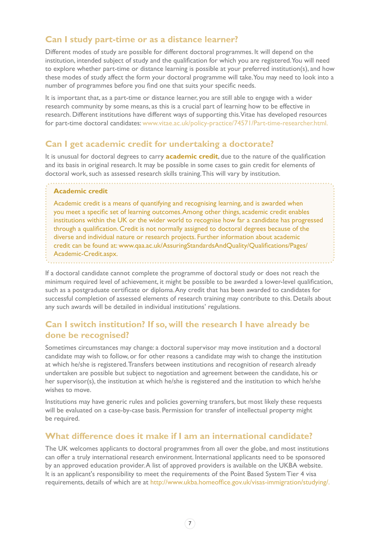#### **Can I study part-time or as a distance learner?**

Different modes of study are possible for different doctoral programmes. It will depend on the institution, intended subject of study and the qualification for which you are registered. You will need to explore whether part-time or distance learning is possible at your preferred institution(s), and how these modes of study affect the form your doctoral programme will take. You may need to look into a number of programmes before you find one that suits your specific needs.

It is important that, as a part-time or distance learner, you are still able to engage with a wider research community by some means, as this is a crucial part of learning how to be effective in research. Different institutions have different ways of supporting this. Vitae has developed resources for part-time doctoral candidates: www.vitae.ac.uk/policy-practice/74571/Part-time-researcher.html.

#### **Can I get academic credit for undertaking a doctorate?**

It is unusual for doctoral degrees to carry **academic credit**, due to the nature of the qualification and its basis in original research. It may be possible in some cases to gain credit for elements of doctoral work, such as assessed research skills training. This will vary by institution.

#### **Academic credit**

Academic credit is a means of quantifying and recognising learning, and is awarded when you meet a specific set of learning outcomes. Among other things, academic credit enables institutions within the UK or the wider world to recognise how far a candidate has progressed through a qualification. Credit is not normally assigned to doctoral degrees because of the diverse and individual nature or research projects. Further information about academic credit can be found at: www.qaa.ac.uk/AssuringStandardsAndQuality/Qualifications/Pages/ Academic-Credit.aspx.

If a doctoral candidate cannot complete the programme of doctoral study or does not reach the minimum required level of achievement, it might be possible to be awarded a lower-level qualification, such as a postgraduate certificate or diploma. Any credit that has been awarded to candidates for successful completion of assessed elements of research training may contribute to this. Details about any such awards will be detailed in individual institutions' regulations.

#### **Can I switch institution? If so, will the research I have already be done be recognised?**

Sometimes circumstances may change: a doctoral supervisor may move institution and a doctoral candidate may wish to follow, or for other reasons a candidate may wish to change the institution at which he/she is registered. Transfers between institutions and recognition of research already undertaken are possible but subject to negotiation and agreement between the candidate, his or her supervisor(s), the institution at which he/she is registered and the institution to which he/she wishes to move.

Institutions may have generic rules and policies governing transfers, but most likely these requests will be evaluated on a case-by-case basis. Permission for transfer of intellectual property might be required.

#### **What difference does it make if I am an international candidate?**

The UK welcomes applicants to doctoral programmes from all over the globe, and most institutions can offer a truly international research environment. International applicants need to be sponsored by an approved education provider. A list of approved providers is available on the UKBA website. It is an applicant's responsibility to meet the requirements of the Point Based System Tier 4 visa requirements, details of which are at http://www.ukba.homeoffice.gov.uk/visas-immigration/studying/.

 $7<sup>7</sup>$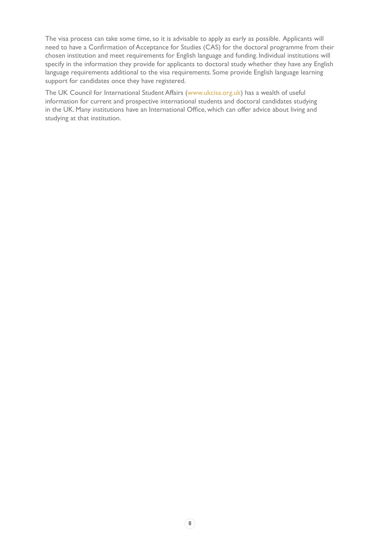The visa process can take some time, so it is advisable to apply as early as possible. Applicants will need to have a Confirmation of Acceptance for Studies (CAS) for the doctoral programme from their chosen institution and meet requirements for English language and funding. Individual institutions will specify in the information they provide for applicants to doctoral study whether they have any English language requirements additional to the visa requirements. Some provide English language learning support for candidates once they have registered.

The UK Council for International Student Affairs (www.ukcisa.org.uk) has a wealth of useful information for current and prospective international students and doctoral candidates studying in the UK. Many institutions have an International Office, which can offer advice about living and studying at that institution.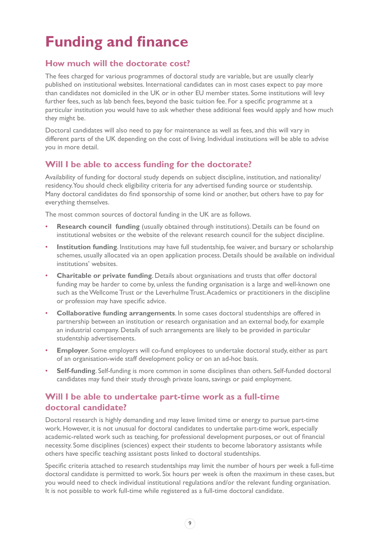# **Funding and finance**

### **How much will the doctorate cost?**

The fees charged for various programmes of doctoral study are variable, but are usually clearly published on institutional websites. International candidates can in most cases expect to pay more than candidates not domiciled in the UK or in other EU member states. Some institutions will levy further fees, such as lab bench fees, beyond the basic tuition fee. For a specific programme at a particular institution you would have to ask whether these additional fees would apply and how much they might be.

Doctoral candidates will also need to pay for maintenance as well as fees, and this will vary in different parts of the UK depending on the cost of living. Individual institutions will be able to advise you in more detail.

### **Will I be able to access funding for the doctorate?**

Availability of funding for doctoral study depends on subject discipline, institution, and nationality/ residency. You should check eligibility criteria for any advertised funding source or studentship. Many doctoral candidates do find sponsorship of some kind or another, but others have to pay for everything themselves.

The most common sources of doctoral funding in the UK are as follows.

- **Research council funding** (usually obtained through institutions). Details can be found on institutional websites or the website of the relevant research council for the subject discipline.
- **Institution funding**. Institutions may have full studentship, fee waiver, and bursary or scholarship schemes, usually allocated via an open application process. Details should be available on individual institutions' websites.
- **Charitable or private funding**. Details about organisations and trusts that offer doctoral funding may be harder to come by, unless the funding organisation is a large and well-known one such as the Wellcome Trust or the Leverhulme Trust. Academics or practitioners in the discipline or profession may have specific advice.
- **Collaborative funding arrangements**. In some cases doctoral studentships are offered in partnership between an institution or research organisation and an external body, for example an industrial company. Details of such arrangements are likely to be provided in particular studentship advertisements.
- **Employer**. Some employers will co-fund employees to undertake doctoral study, either as part of an organisation-wide staff development policy or on an ad-hoc basis.
- **Self-funding**. Self-funding is more common in some disciplines than others. Self-funded doctoral candidates may fund their study through private loans, savings or paid employment.

### **Will I be able to undertake part-time work as a full-time doctoral candidate?**

Doctoral research is highly demanding and may leave limited time or energy to pursue part-time work. However, it is not unusual for doctoral candidates to undertake part-time work, especially academic-related work such as teaching, for professional development purposes, or out of financial necessity. Some disciplines (sciences) expect their students to become laboratory assistants while others have specific teaching assistant posts linked to doctoral studentships.

Specific criteria attached to research studentships may limit the number of hours per week a full-time doctoral candidate is permitted to work. Six hours per week is often the maximum in these cases, but you would need to check individual institutional regulations and/or the relevant funding organisation. It is not possible to work full-time while registered as a full-time doctoral candidate.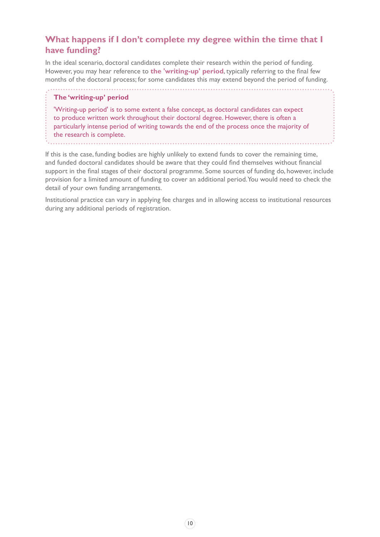### **What happens if I don't complete my degree within the time that I have funding?**

In the ideal scenario, doctoral candidates complete their research within the period of funding. However, you may hear reference to **the 'writing-up' period**, typically referring to the final few months of the doctoral process; for some candidates this may extend beyond the period of funding.

#### **The 'writing-up' period**

'Writing-up period' is to some extent a false concept, as doctoral candidates can expect to produce written work throughout their doctoral degree. However, there is often a particularly intense period of writing towards the end of the process once the majority of the research is complete.

If this is the case, funding bodies are highly unlikely to extend funds to cover the remaining time, and funded doctoral candidates should be aware that they could find themselves without financial support in the final stages of their doctoral programme. Some sources of funding do, however, include provision for a limited amount of funding to cover an additional period. You would need to check the detail of your own funding arrangements.

Institutional practice can vary in applying fee charges and in allowing access to institutional resources during any additional periods of registration.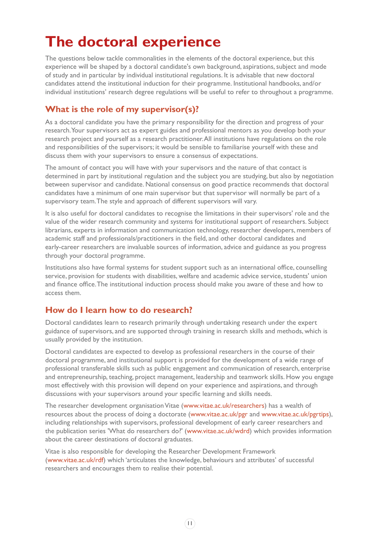# **The doctoral experience**

The questions below tackle commonalities in the elements of the doctoral experience, but this experience will be shaped by a doctoral candidate's own background, aspirations, subject and mode of study and in particular by individual institutional regulations. It is advisable that new doctoral candidates attend the institutional induction for their programme. Institutional handbooks, and/or individual institutions' research degree regulations will be useful to refer to throughout a programme.

### **What is the role of my supervisor(s)?**

As a doctoral candidate you have the primary responsibility for the direction and progress of your research. Your supervisors act as expert guides and professional mentors as you develop both your research project and yourself as a research practitioner. All institutions have regulations on the role and responsibilities of the supervisors; it would be sensible to familiarise yourself with these and discuss them with your supervisors to ensure a consensus of expectations.

The amount of contact you will have with your supervisors and the nature of that contact is determined in part by institutional regulation and the subject you are studying, but also by negotiation between supervisor and candidate. National consensus on good practice recommends that doctoral candidates have a minimum of one main supervisor but that supervisor will normally be part of a supervisory team. The style and approach of different supervisors will vary.

It is also useful for doctoral candidates to recognise the limitations in their supervisors' role and the value of the wider research community and systems for institutional support of researchers. Subject librarians, experts in information and communication technology, researcher developers, members of academic staff and professionals/practitioners in the field, and other doctoral candidates and early-career researchers are invaluable sources of information, advice and guidance as you progress through your doctoral programme.

Institutions also have formal systems for student support such as an international office, counselling service, provision for students with disabilities, welfare and academic advice service, students' union and finance office. The institutional induction process should make you aware of these and how to access them.

### **How do I learn how to do research?**

Doctoral candidates learn to research primarily through undertaking research under the expert guidance of supervisors, and are supported through training in research skills and methods, which is usually provided by the institution.

Doctoral candidates are expected to develop as professional researchers in the course of their doctoral programme, and institutional support is provided for the development of a wide range of professional transferable skills such as public engagement and communication of research, enterprise and entrepreneurship, teaching, project management, leadership and teamwork skills. How you engage most effectively with this provision will depend on your experience and aspirations, and through discussions with your supervisors around your specific learning and skills needs.

The researcher development organisation Vitae (www.vitae.ac.uk/researchers) has a wealth of resources about the process of doing a doctorate ([www.vitae.ac.uk/pgr](http://www.vitae.ac.uk/pgr) and [www.vitae.ac.uk/pgrtips](http://www.vitae.ac.uk/pgr)[\)](http://www.vitae.ac.uk/pgrtips), including relationships with supervisors, professional development of early career researchers and the publication series 'What do researchers do?' (www.vitae.ac.uk/wdrd) which provides information about the career destinations of doctoral graduates.

Vitae is also responsible for developing the Researcher Development Framework (www.vitae.ac.uk/rdf) which 'articulates the knowledge, behaviours and attributes' of successful researchers and encourages them to realise their potential.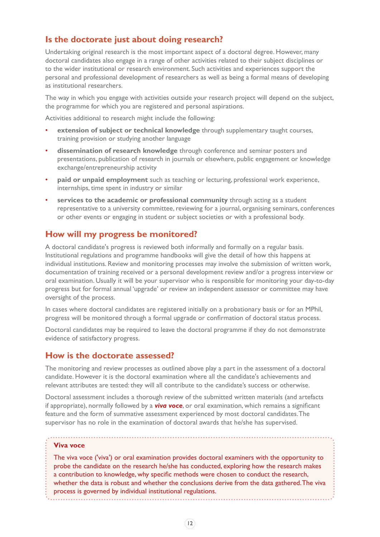#### **Is the doctorate just about doing research?**

Undertaking original research is the most important aspect of a doctoral degree. However, many doctoral candidates also engage in a range of other activities related to their subject disciplines or to the wider institutional or research environment. Such activities and experiences support the personal and professional development of researchers as well as being a formal means of developing as institutional researchers.

The way in which you engage with activities outside your research project will depend on the subject, the programme for which you are registered and personal aspirations.

Activities additional to research might include the following:

- **extension of subject or technical knowledge** through supplementary taught courses, training provision or studying another language
- **dissemination of research knowledge** through conference and seminar posters and presentations, publication of research in journals or elsewhere, public engagement or knowledge exchange/entrepreneurship activity
- **paid or unpaid employment** such as teaching or lecturing, professional work experience, internships, time spent in industry or similar
- **services to the academic or professional community** through acting as a student representative to a university committee, reviewing for a journal, organising seminars, conferences or other events or engaging in student or subject societies or with a professional body.

#### **How will my progress be monitored?**

A doctoral candidate's progress is reviewed both informally and formally on a regular basis. Institutional regulations and programme handbooks will give the detail of how this happens at individual institutions. Review and monitoring processes may involve the submission of written work, documentation of training received or a personal development review and/or a progress interview or oral examination. Usually it will be your supervisor who is responsible for monitoring your day-to-day progress but for formal annual 'upgrade' or review an independent assessor or committee may have oversight of the process.

In cases where doctoral candidates are registered initially on a probationary basis or for an MPhil, progress will be monitored through a formal upgrade or confirmation of doctoral status process.

Doctoral candidates may be required to leave the doctoral programme if they do not demonstrate evidence of satisfactory progress.

#### **How is the doctorate assessed?**

The monitoring and review processes as outlined above play a part in the assessment of a doctoral candidate. However it is the doctoral examination where all the candidate's achievements and relevant attributes are tested: they will all contribute to the candidate's success or otherwise.

Doctoral assessment includes a thorough review of the submitted written materials (and artefacts if appropriate), normally followed by a *viva voce*, or oral examination, which remains a significant feature and the form of summative assessment experienced by most doctoral candidates. The supervisor has no role in the examination of doctoral awards that he/she has supervised.

#### **Viva voce**

The viva voce ('viva') or oral examination provides doctoral examiners with the opportunity to probe the candidate on the research he/she has conducted, exploring how the research makes a contribution to knowledge, why specific methods were chosen to conduct the research, whether the data is robust and whether the conclusions derive from the data gathered. The viva process is governed by individual institutional regulations.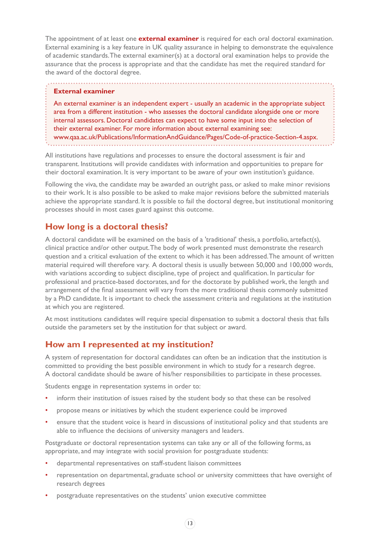The appointment of at least one **external examiner** is required for each oral doctoral examination. External examining is a key feature in UK quality assurance in helping to demonstrate the equivalence of academic standards. The external examiner(s) at a doctoral oral examination helps to provide the assurance that the process is appropriate and that the candidate has met the required standard for the award of the doctoral degree.

#### **External examiner**

An external examiner is an independent expert - usually an academic in the appropriate subject area from a different institution - who assesses the doctoral candidate alongside one or more internal assessors. Doctoral candidates can expect to have some input into the selection of their external examiner. For more information about external examining see:

www.qaa.ac.uk/Publications/InformationAndGuidance/Pages/Code-of-practice-Section-4.aspx.

All institutions have regulations and processes to ensure the doctoral assessment is fair and transparent. Institutions will provide candidates with information and opportunities to prepare for their doctoral examination. It is very important to be aware of your own institution's guidance.

Following the viva, the candidate may be awarded an outright pass, or asked to make minor revisions to their work. It is also possible to be asked to make major revisions before the submitted materials achieve the appropriate standard. It is possible to fail the doctoral degree, but institutional monitoring processes should in most cases guard against this outcome.

#### **How long is a doctoral thesis?**

A doctoral candidate will be examined on the basis of a 'traditional' thesis, a portfolio, artefact(s), clinical practice and/or other output. The body of work presented must demonstrate the research question and a critical evaluation of the extent to which it has been addressed. The amount of written material required will therefore vary. A doctoral thesis is usually between 50,000 and 100,000 words, with variations according to subject discipline, type of project and qualification. In particular for professional and practice-based doctorates, and for the doctorate by published work, the length and arrangement of the final assessment will vary from the more traditional thesis commonly submitted by a PhD candidate. It is important to check the assessment criteria and regulations at the institution at which you are registered.

At most institutions candidates will require special dispensation to submit a doctoral thesis that falls outside the parameters set by the institution for that subject or award.

#### **How am I represented at my institution?**

A system of representation for doctoral candidates can often be an indication that the institution is committed to providing the best possible environment in which to study for a research degree. A doctoral candidate should be aware of his/her responsibilities to participate in these processes.

Students engage in representation systems in order to:

- inform their institution of issues raised by the student body so that these can be resolved
- propose means or initiatives by which the student experience could be improved
- ensure that the student voice is heard in discussions of institutional policy and that students are able to influence the decisions of university managers and leaders.

Postgraduate or doctoral representation systems can take any or all of the following forms, as appropriate, and may integrate with social provision for postgraduate students:

- departmental representatives on staff-student liaison committees
- representation on departmental, graduate school or university committees that have oversight of research degrees
- postgraduate representatives on the students' union executive committee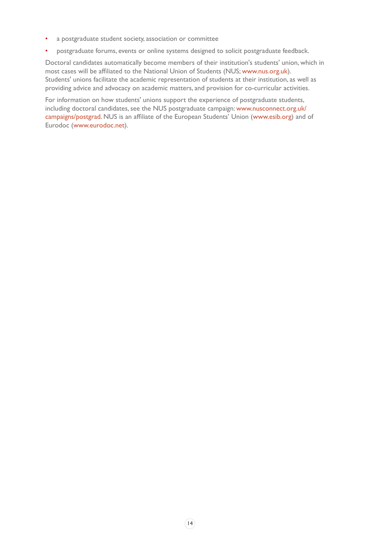- a postgraduate student society, association or committee
- postgraduate forums, events or online systems designed to solicit postgraduate feedback.

Doctoral candidates automatically become members of their institution's students' union, which in most cases will be affiliated to the National Union of Students (NUS; www.nus.org.uk). Students' unions facilitate the academic representation of students at their institution, as well as providing advice and advocacy on academic matters, and provision for co-curricular activities.

For information on how students' unions support the experience of postgraduate students, including doctoral candidates, see the NUS postgraduate campaign: www.nusconnect.org.uk/ campaigns/postgrad. NUS is an affiliate of the European Students' Union (www.esib.org) and of Eurodoc (www.eurodoc.net).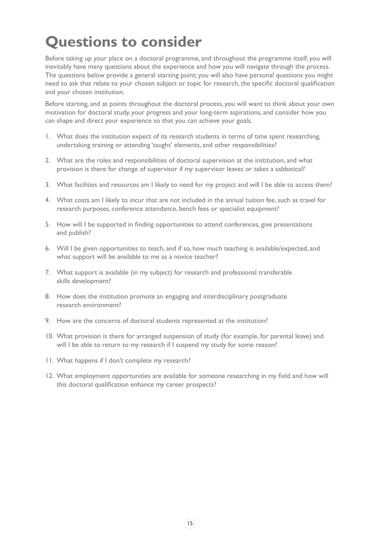# **Questions to consider**

Before taking up your place on a doctoral programme, and throughout the programme itself, you will inevitably have many questions about the experience and how you will navigate through the process. The questions below provide a general starting point; you will also have personal questions you might need to ask that relate to your chosen subject or topic for research, the specific doctoral qualification and your chosen institution.

Before starting, and at points throughout the doctoral process, you will want to think about your own motivation for doctoral study, your progress and your long-term aspirations, and consider how you can shape and direct your experience so that you can achieve your goals.

- 1. What does the institution expect of its research students in terms of time spent researching, undertaking training or attending 'taught' elements, and other responsibilities?
- 2. What are the roles and responsibilities of doctoral supervision at the institution, and what provision is there for change of supervisor if my supervisor leaves or takes a sabbatical?
- 3. What facilities and resources am I likely to need for my project and will I be able to access them?
- 4. What costs am I likely to incur that are not included in the annual tuition fee, such as travel for research purposes, conference attendance, bench fees or specialist equipment?
- 5. How will I be supported in finding opportunities to attend conferences, give presentations and publish?
- 6. Will I be given opportunities to teach, and if so, how much teaching is available/expected, and what support will be available to me as a novice teacher?
- 7. What support is available (in my subject) for research and professional transferable skills development?
- 8. How does the institution promote an engaging and interdisciplinary postgraduate research environment?
- 9. How are the concerns of doctoral students represented at the institution?
- 10. What provision is there for arranged suspension of study (for example, for parental leave) and will I be able to return to my research if I suspend my study for some reason?
- 11. What happens if I don't complete my research?
- 12. What employment opportunities are available for someone researching in my field and how will this doctoral qualification enhance my career prospects?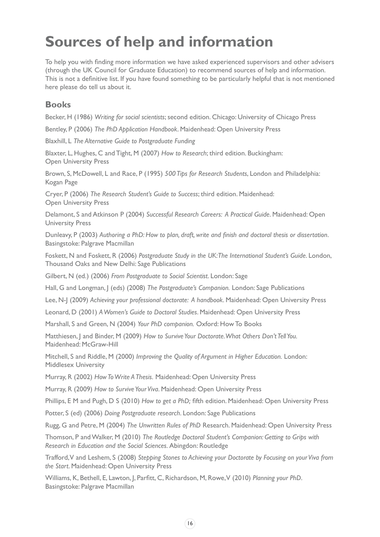# **Sources of help and information**

To help you with finding more information we have asked experienced supervisors and other advisers (through the UK Council for Graduate Education) to recommend sources of help and information. This is not a definitive list. If you have found something to be particularly helpful that is not mentioned here please do tell us about it.

### **Books**

Becker, H (1986) *Writing for social scientists*; second edition. Chicago: University of Chicago Press

Bentley, P (2006) *The PhD Application Handbook*. Maidenhead: Open University Press

Blaxhill, L *The Alternative Guide to Postgraduate Funding*

Blaxter, L, Hughes, C and Tight, M (2007) *How to Research*; third edition. Buckingham: Open University Press

Brown, S, McDowell, L and Race, P (1995) *500 Tips for Research Students*, London and Philadelphia: Kogan Page

Cryer, P (2006) *The Research Student's Guide to Success*; third edition. Maidenhead: Open University Press

Delamont, S and Atkinson P (2004) *Successful Research Careers: A Practical Guide*. Maidenhead: Open University Press

Dunleavy, P (2003) *Authoring a PhD: How to plan, draft, write and finish and doctoral thesis or dissertation*. Basingstoke: Palgrave Macmillan

Foskett, N and Foskett, R (2006) *Postgraduate Study in the UK: The International Student's Guide*. London, Thousand Oaks and New Delhi: Sage Publications

Gilbert, N (ed.) (2006) *From Postgraduate to Social Scientist*. London: Sage

Hall, G and Longman, J (eds) (2008) *The Postgraduate's Companion.* London: Sage Publications

Lee, N-J (2009) *Achieving your professional doctorate: A handbook*. Maidenhead: Open University Press

Leonard, D (2001) *A Women's Guide to Doctoral Studies*. Maidenhead: Open University Press

Marshall, S and Green, N (2004) *Your PhD companion.* Oxford: How To Books

Matthiesen, J and Binder, M (2009) How to Survive Your Doctorate. What Others Don't Tell You. Maidenhead: McGraw-Hill

Mitchell, S and Riddle, M (2000) *Improving the Quality of Argument in Higher Education.* London: Middlesex University

Murray, R (2002) *How To Write A Thesis.* Maidenhead: Open University Press

Murray, R (2009) *How to Survive Your Viva*. Maidenhead: Open University Press

Phillips, E M and Pugh, D S (2010) *How to get a PhD;* fifth edition. Maidenhead: Open University Press

Potter, S (ed) (2006) *Doing Postgraduate research*. London: Sage Publications

Rugg, G and Petre, M (2004) *The Unwritten Rules of PhD* Research. Maidenhead: Open University Press

Thomson, P and Walker, M (2010) *The Routledge Doctoral Student's Companion: Getting to Grips with Research in Education and the Social Sciences.* Abingdon: Routledge

Trafford, V and Leshem, S (2008) *Stepping Stones to Achieving your Doctorate by Focusing on your Viva from the Start*. Maidenhead: Open University Press

Williams, K, Bethell, E, Lawton, J, Parfitt, C, Richardson, M, Rowe, V (2010) *Planning your PhD*. Basingstoke: Palgrave Macmillan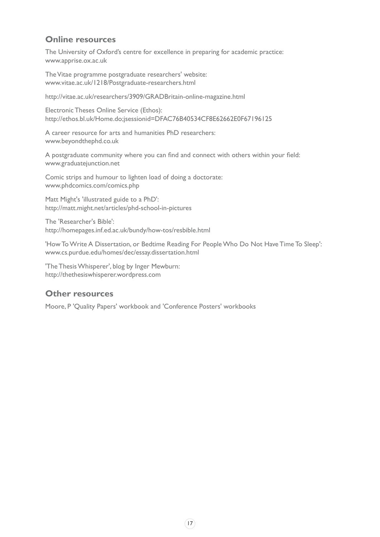#### **Online resources**

The University of Oxford's centre for excellence in preparing for academic practice: www.apprise.ox.ac.uk

The Vitae programme postgraduate researchers' website: www.vitae.ac.uk/1218/Postgraduate-researchers.html

http://vitae.ac.uk/researchers/3909/GRADBritain-online-magazine.html

Electronic Theses Online Service (Ethos): http://ethos.bl.uk/Home.do;jsessionid=DFAC76B40534CF8E62662E0F67196125

A career resource for arts and humanities PhD researchers: www.beyondthephd.co.uk

A postgraduate community where you can find and connect with others within your field: www.graduatejunction.net

Comic strips and humour to lighten load of doing a doctorate: www.phdcomics.com/comics.php

Matt Might's 'illustrated guide to a PhD': http://matt.might.net/articles/phd-school-in-pictures

The 'Researcher's Bible': http://homepages.inf.ed.ac.uk/bundy/how-tos/resbible.html

'How To Write A Dissertation, or Bedtime Reading For People Who Do Not Have Time To Sleep': www.cs.purdue.edu/homes/dec/essay.dissertation.html

'The Thesis Whisperer', blog by Inger Mewburn: http://thethesiswhisperer.wordpress.com

#### **Other resources**

Moore, P 'Quality Papers' workbook and 'Conference Posters' workbooks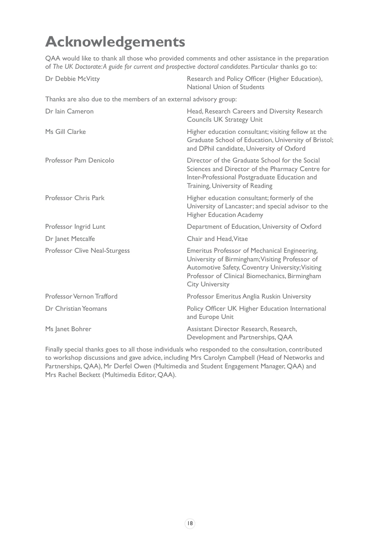# **Acknowledgements**

QAA would like to thank all those who provided comments and other assistance in the preparation of *The UK Doctorate: A guide for current and prospective doctoral candidates*. Particular thanks go to:

| Dr Debbie McVitty                                                 | Research and Policy Officer (Higher Education),<br>National Union of Students                                                                                                                                                    |
|-------------------------------------------------------------------|----------------------------------------------------------------------------------------------------------------------------------------------------------------------------------------------------------------------------------|
| Thanks are also due to the members of an external advisory group: |                                                                                                                                                                                                                                  |
| Dr Iain Cameron                                                   | Head, Research Careers and Diversity Research<br><b>Councils UK Strategy Unit</b>                                                                                                                                                |
| Ms Gill Clarke                                                    | Higher education consultant; visiting fellow at the<br>Graduate School of Education, University of Bristol;<br>and DPhil candidate, University of Oxford                                                                         |
| Professor Pam Denicolo                                            | Director of the Graduate School for the Social<br>Sciences and Director of the Pharmacy Centre for<br>Inter-Professional Postgraduate Education and<br>Training, University of Reading                                           |
| Professor Chris Park                                              | Higher education consultant; formerly of the<br>University of Lancaster; and special advisor to the<br><b>Higher Education Academy</b>                                                                                           |
| Professor Ingrid Lunt                                             | Department of Education, University of Oxford                                                                                                                                                                                    |
| Dr Janet Metcalfe                                                 | Chair and Head, Vitae                                                                                                                                                                                                            |
| <b>Professor Clive Neal-Sturgess</b>                              | Emeritus Professor of Mechanical Engineering,<br>University of Birmingham; Visiting Professor of<br>Automotive Safety, Coventry University; Visiting<br>Professor of Clinical Biomechanics, Birmingham<br><b>City University</b> |
| Professor Vernon Trafford                                         | Professor Emeritus Anglia Ruskin University                                                                                                                                                                                      |
| Dr Christian Yeomans                                              | Policy Officer UK Higher Education International<br>and Europe Unit                                                                                                                                                              |
| Ms Janet Bohrer                                                   | Assistant Director Research, Research,<br>Development and Partnerships, QAA                                                                                                                                                      |

Finally special thanks goes to all those individuals who responded to the consultation, contributed to workshop discussions and gave advice, including Mrs Carolyn Campbell (Head of Networks and Partnerships, QAA), Mr Derfel Owen (Multimedia and Student Engagement Manager, QAA) and Mrs Rachel Beckett (Multimedia Editor, QAA).